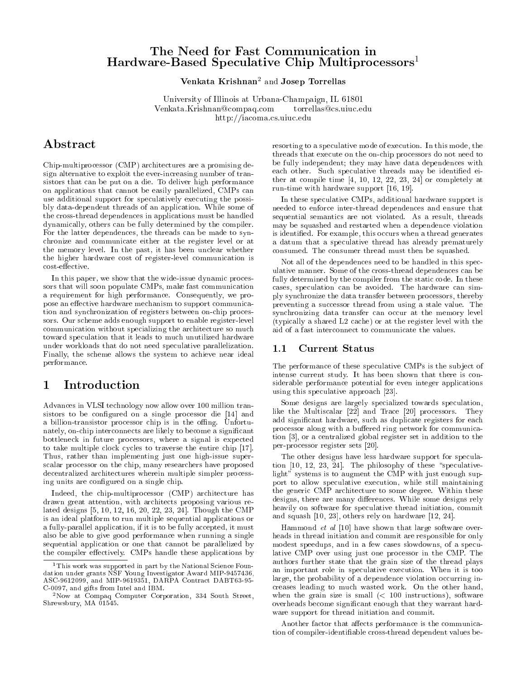# $Hardware-Based Speculative Chin Multirocessors<sup>1</sup>$

venkata Krishnan-and Josep Torrellas

University of Indiana-Champaign, Urbana-Champaign, Ind. Urbana-Venkata.Krishnan@compaq.com torrellas@cs.uiuc.edu http://ia
oma.
s.uiu
.edu

# ${\bf Abstract}$

Chip-multipro
essor (CMP) ar
hite
tures are a promising design alternative to exploit the ever-increasing number of transistors that can be put on a die. To deliver high performance on applications that cannot be easily parallelized, CMPs can use additional support for speculatively executing the possibly data-dependent threads of an appli
ation. While some of the ross-thread dependen
es in appli
ations must be handled dynami
ally, others an be fully determined by the ompiler. For the latter dependen
es, the threads an be made to syn hronize and ommuni
ate either at the register level or at the memory level. In the past, it has been un
lear whether the higher hardware ost of register-level ommuni
ation is cost-effective.

In this paper, we show that the wide-issue dynamic processors that will soon populate CMPs, make fast communication a requirement for high performan
e. Consequently, we propose an effective hardware mechanism to support communication and syn
hronization of registers between onhip pro
essors. Our s
heme adds enough support to enable register-level communication without specializing the architecture so much toward spe
ulation that it leads to mu
h unutilized hardware under workloads that do not need spe
ulative parallelization. Finally, the s
heme allows the system to a
hieve near ideal performan
e.

# 1 Introduction

Advan
es in VLSI te
hnology now allow over 100 million transistors to be configured on a single processor die [14] and a billion-transistor processor chip is in the offing. Unfortunately, on-chip interconnects are likely to become a significant bottlene
k in future pro
essors, where a signal is expe
ted to take multiple clock cycles to traverse the entire chip [17]. Thus, rather than implementing just one high-issue supers
alar pro
essor on the hip, many resear
hers have proposed decentralized architectures wherein multiple simpler processing units are configured on a single chip.

Indeed, the chip-multiprocessor (CMP) architecture has drawn great attention, with ar
hite
ts proposing various related designs  $[5, 10, 12, 16, 20, 22, 23, 24]$ . Though the CMP is an ideal platform to run multiple sequential appli
ations or a fully-parallel application, if it is to be fully accepted, it must also be able to give good performan
e when running a single sequential application or one that cannot be parallelized by the compiler effectively. CMPs handle these applications by

resorting to a speculative mode of execution. In this mode, the threads that execute on the on-chip processors do not need to be fully independent; they may have data dependen
es with each other. Such speculative threads may be identified either at compile time  $[4, 10, 12, 22, 23, 24]$  or completely at run-time with hardware support  $[16, 19]$ .

In these spe
ulative CMPs, additional hardware support is needed to enfor
e inter-thread dependen
es and ensure that sequential semantics are not violated. As a result, threads may be squashed and restarted when a dependen
e violation is identified. For example, this occurs when a thread generates a datum that a speculative thread has already prematurely onsumed. The onsumer thread must then be squashed.

Not all of the dependen
es need to be handled in this spe
 ulative manner. Some of the cross-thread dependences can be fully determined by the compiler from the static code. In these cases, speculation can be avoided. The hardware can simply syn
hronize the data transfer between pro
essors, thereby preventing a successor thread from using a stale value. The synchronizing data transfer can occur at the memory level (typi
ally a shared L2 a
he) or at the register level with the aid of a fast inter
onne
t to ommuni
ate the values.

### 1.1 Current Status

The performance of these speculative CMPs is the subject of intense current study. It has been shown that there is considerable performance potential for even integer applications using this speculative approach  $[23]$ .

Some designs are largely specialized towards speculation, like the Multiscalar  $[22]$  and Trace  $[20]$  processors. They add significant hardware, such as duplicate registers for each processor along with a buffered ring network for communication [3], or a centralized global register set in addition to the per-processor register sets [20].

The other designs have less hardware support for speculation  $[10, 12, 23, 24]$ . The philosophy of these "speculativelight" systems is to augment the CMP with just enough support to allow speculative execution, while still maintaining the generic CMP architecture to some degree. Within these designs, there are many differences. While some designs rely heavily on software for speculative thread initiation, commit and squash  $[10, 23]$ , others rely on hardware  $[12, 24]$ .

Hammond  $et \ al \ [10]$  have shown that large software overheads in thread initiation and ommit are responsible for only modest speedups, and in a few cases slowdowns, of a speculative CMP over using just one pro
essor in the CMP. The authors further state that the grain size of the thread plays an important role in speculative execution. When it is too large, the probability of a dependence violation occurring inreases leading to mu
h wasted work. On the other hand, when the grain size is small  $( $100$  instructions), software$ overheads become significant enough that they warrant hardware support for thread initiation and ommit.

Another factor that affects performance is the communication of ompiler-identiable ross-thread dependent values be-

This work was supported in part by the National Science Foundation under grants NSF Young Investigator Award MIP-9457436, ASC-9612099, and MIP-9619351, DARPA Contra
t DABT63-95- C-0097, and gifts from Intel and IBM.

<sup>2</sup>Now at Compaq Computer Corporation, 334 South Street, Shrewsbury, MA 01545.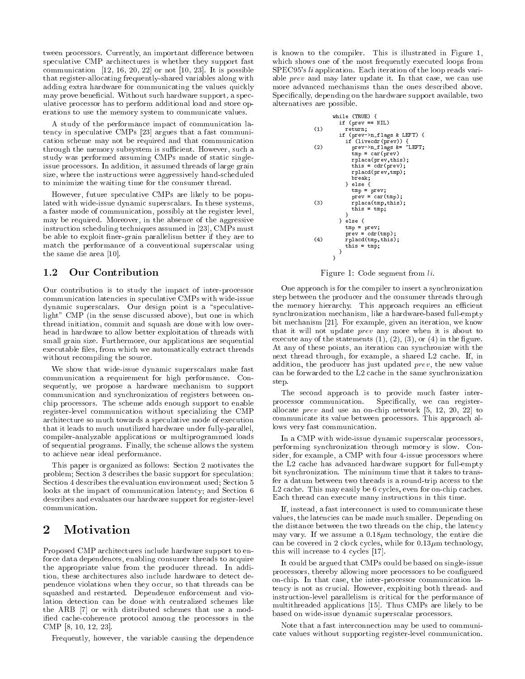tween processors. Currently, an important difference between speculative CMP architectures is whether they support fast communication  $[12, 16, 20, 22]$  or not  $[10, 23]$ . It is possible that register-allo
ating frequently-shared variables along with adding extra hardware for communicating the values quickly may prove beneficial. Without such hardware support, a speculative pro
essor has to perform additional load and store operations to use the memory system to communicate values.

A study of the performan
e impa
t of ommuni
ation latency in speculative CMPs [23] argues that a fast communiation s
heme may not be required and that ommuni
ation through the memory subsystem is sufficient. However, such a study was performed assuming CMPs made of static singleissue pro
essors. In addition, it assumed threads of large grain size, where the instru
tions were aggressively hand-s
heduled to minimize the waiting time for the onsumer thread.

However, future speculative CMPs are likely to be populated with wide-issue dynamic superscalars. In these systems, a faster mode of ommuni
ation, possibly at the register level, may be required. Moreover, in the absen
e of the aggressive instruction scheduling techniques assumed in [23], CMPs must be able to exploit ner-grain parallelism better if they are to match the performance of a conventional superscalar using the same die area  $[10]$ .

### 1.2 Our Contribution

Our ontribution is to study the impa
t of inter-pro
essor ommuni
ation laten
ies in spe
ulative CMPs with wide-issue dynamic superscalars. Our design point is a "speculativelight" CMP (in the sense discussed above), but one in which thread initiation, ommit and squash are done with low overhead in hardware to allow better exploitation of threads with small grain size. Furthermore, our applications are sequential executable files, from which we automatically extract threads without recompiling the source.

We show that wide-issue dynamic superscalars make fast ommuni
ation a requirement for high performan
e. Consequently, we propose a hardware me
hanism to support ommuni
ation and syn
hronization of registers between on hip pro
essors. The s
heme adds enough support to enable register-level ommuni
ation without spe
ializing the CMP architecture so much towards a speculative mode of execution that it leads to mu
h unutilized hardware under fully-parallel, ompiler-analyzable appli
ations or multiprogrammed loads of sequential programs. Finally, the s
heme allows the system to a
hieve near ideal performan
e.

This paper is organized as follows: Se
tion 2 motivates the problem; Section 3 describes the basic support for speculation; Section 4 describes the evaluation environment used; Section 5 looks at the impact of communication latency; and Section 6 des
ribes and evaluates our hardware support for register-level ommuni
ation.

#### $\overline{2}$ **Motivation**

Proposed CMP architectures include hardware support to enforce data dependences, enabling consumer threads to acquire the appropriate value from the produ
er thread. In addition, these architectures also include hardware to detect dependence violations when they occur, so that threads can be squashed and restarted. Dependence enforcement and violation detection can be done with centralized schemes like the ARB [7] or with distributed schemes that use a modified cache-coherence protocol among the processors in the  $\text{CMP}$  [8, 10, 12, 23].

Frequently, however, the variable causing the dependence

is known to the ompiler. This is illustrated in Figure 1, which shows one of the most frequently executed loops from SPEC95's *li* application. Each iteration of the loop reads variable  $prev$  and may later update it. In that case, we can use more advan
ed me
hanisms than the ones des
ribed above. Specifically, depending on the hardware support available, two alternatives are possible.

while (TRUE) {  $if (prev == NIL)$ (1) return; if the contract of the left  $\mathcal{L}_1$  and  $\mathcal{L}_2$  and  $\mathcal{L}_3$  and  $\mathcal{L}_4$  and  $\mathcal{L}_5$  and  $\mathcal{L}_6$  and  $\mathcal{L}_7$  and  $\mathcal{L}_8$  and  $\mathcal{L}_7$  and  $\mathcal{L}_8$  and  $\mathcal{L}_7$  and  $\mathcal{L}_8$  and  $\mathcal{L}_7$  and  $\mathcal{L}_8$  a  $(2)$  $prev\rightarrow$ n\_flags  $k$ = ~LEFT;  $\sim$ tmp <sup>=</sup> ar(prev) rpla
a(prev,this); rplacd(prev,tmp); break; } else {  $prev = car(tmp);$ (3) rpla
a(tmp,this); this <sup>=</sup> tmp; } } else { ...<br>prev = cdr(tmp); (4) rpla
d(tmp,this); this <sup>=</sup> tmp; } $\overline{1}$ .

Figure 1: Code segment from li.

One approach is for the compiler to insert a synchronization step between the produ
er and the onsumer threads through the memory hierarchy. This approach requires an efficient syn
hronization me
hanism, like a hardware-based full-empty bit mechanism [21]. For example, given an iteration, we know that it will not update prev any more when it is about to execute any of the statements  $(1), (2), (3),$  or  $(4)$  in the figure. At any of these points, an iteration an syn
hronize with the next thread through, for example, a shared  $L2$  cache. If, in addition, the produ
er has just updated prev, the new value an be forwarded to the L2 a
he in the same syn
hronization step.

The second approach is to provide much faster interprocessor communication. Specifically, we can registerallocate  $prev$  and use an on-chip network  $[5, 12, 20, 22]$  to ommuni
ate its value between pro
essors. This approa
h allows very fast ommuni
ation.

In a CMP with wide-issue dynamic superscalar processors, performing syn
hronization through memory is slow. Consider, for example, a CMP with four 4-issue processors where the L<sub>2</sub> cache has advanced hardware support for full-empty bit syn
hronization. The minimum time that it takes to transfer a datum between two threads is a round-trip access to the L2 cache. This may easily be 6 cycles, even for on-chip caches. Each thread can execute many instructions in this time.

If, instead, a fast interconnect is used to communicate these values, the latencies can be made much smaller. Depending on the distance between the two threads on the chip, the latency may vary. If we assume a  $0.18 \mu m$  technology, the entire die can be covered in 2 clock cycles, while for  $0.13 \mu m$  technology, this will increase to 4 cycles  $[17]$ .

It could be argued that CMPs could be based on single-issue pro
essors, thereby allowing more pro
essors to be ongured onhip. In that ase, the inter-pro
essor ommuni
ation latency is not as crucial. However, exploiting both thread- and instruction-level parallelism is critical for the performance of multithreaded applications [15]. Thus CMPs are likely to be based on wide-issue dynamic superscalar processors.

Note that a fast inter
onne
tion may be used to ommuni ate values without supporting register-level ommuni
ation.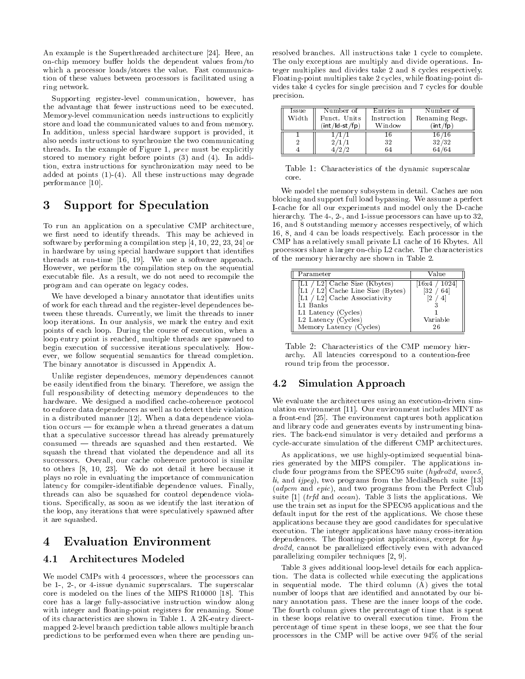An example is the Superthreaded architecture [24]. Here, an on-chip memory buffer holds the dependent values from/to which a processor loads/stores the value. Fast communication of these values between processors is facilitated using a ring network.

Supporting register-level ommuni
ation, however, has the advantage that fewer instructions need to be executed. Memory-level communication needs instructions to explicitly store and load the ommuni
ated values to and from memory. In addition, unless spe
ial hardware support is provided, it also needs instru
tions to syn
hronize the two ommuni
ating threads. In the example of Figure 1,  $prev$  must be explicitly stored to memory right before points (3) and (4). In addition, extra instru
tions for syn
hronization may need to be added at points  $(1)$   $(4)$ . All these instructions may degrade performance [10].

#### 3 3 Support for Spe
ulation

To run an application on a speculative CMP architecture, we first need to identify threads. This may be achieved in software by performing a compilation step  $[4, 10, 22, 23, 24]$  or in hardware by using special hardware support that identifies threads at run-time  $[16, 19]$ . We use a software approach. However, we perform the ompilation step on the sequential executable file. As a result, we do not need to recompile the program and can operate on legacy codes.

We have developed a binary annotator that identifies units of work for ea
h thread and the register-level dependen
es between these threads. Currently, we limit the threads to inner loop iterations. In our analysis, we mark the entry and exit points of ea
h loop. During the ourse of exe
ution, when a loop entry point is reached, multiple threads are spawned to begin execution of successive iterations speculatively. However, we follow sequential semantics for thread completion. ever, we follow sequential semanti
s for thread ompletion. The binary annotator is dis
ussed in Appendix A.

Unlike register dependen
es, memory dependen
es annot be easily identied from the binary. Therefore, we assign the full responsibility of detecting memory dependences to the hardware. We designed a modified cache-coherence protocol to enfor
e data dependen
es as well as to dete
t their violation in a distributed manner  $[12]$ . When a data dependence violation occurs — for example when a thread generates a datum that a speculative successor thread has already prematurely onsumed | threads are squashed and then restarted. We squash the thread that violated the dependen
e and all its successors. Overall, our cache coherence protocol is similar to others  $[8, 10, 23]$ . We do not detail it here because it plays no role in evaluating the importan
e of ommuni
ation laten
y for ompiler-identiable dependen
e values. Finally, threads an also be squashed for ontrol dependen
e violations. Specifically, as soon as we identify the last iteration of the loop, any iterations that were spe
ulatively spawned after it are squashed.

# 4 Evaluation Environment

# 4.1 Ar
hite
tures Modeled

We model CMPs with 4 processors, where the processors can be 1, 2, or 4-issue dynamic superscalars. The superscalar  $\frac{1}{18}$ . This core is modeled on the lines of the MIPS R10000 [18]. This ore has a large fully-asso
iative instru
tion window along with integer and floating-point registers for renaming. Some of its hara
teristi
s are shown in Table 1. A 2K-entry dire
tmapped 2-level branch prediction table allows multiple branch predi
tions to be performed even when there are pending unresolved branches. All instructions take 1 cycle to complete. The only ex
eptions are multiply and divide operations. Integer multiplies and divides take 2 and 8 cycles respectively. Floating-point multiplies take 2 cycles, while floating-point divides take 4 cycles for single precision and 7 cycles for double precision.

| Issue<br>Width | Number of<br>Funct. Units<br>$(int/Id - st/fp)$ | Entries in<br>Instruction<br>Window | Number of<br>Renaming Regs.<br>(int/fp) |
|----------------|-------------------------------------------------|-------------------------------------|-----------------------------------------|
|                |                                                 | 16<br>32                            | 16/16<br>32/32<br>64/64                 |

s of the dynamics of the dynamics of the dynamics of the dynamics. ore.

We model the memory subsystem in detail. Caches are non blo
king and support full load bypassing. We assume a perfe
t I-cache for all our experiments and model only the D-cache hierarchy. The 4-, 2-, and 1-issue processors can have up to 32, 16, and 8 outstanding memory accesses respectively, of which 16, 8, and 4 an be loads respe
tively. Ea
h pro
essor in the CMP has a relatively small private L1 cache of 16 Kbytes. All processors share a larger on-chip L2 cache. The characteristics of the memory hierar
hy are shown in Table 2.

| Parameter                                                                                                                                                       | /alue                                           |
|-----------------------------------------------------------------------------------------------------------------------------------------------------------------|-------------------------------------------------|
| [L1 / L2] Cache Size (Kbytes)<br>$[L1 / L2]$ Cache Line Size (Bytes)<br>[L1 / L2] Cache Associativity<br>L1 Banks<br>L1 Latency (Cycles)<br>L2 Latency (Cycles) | 16x4<br>′ 1024<br> 32 /<br>64<br>-4<br>Variable |
| Memory Latency (Cycles)                                                                                                                                         | 96                                              |

Table 2: Chara
teristi
s of the CMP memory hierar
hy. All laten
ies orrespond to a ontention-free round trip from the pro
essor.

# 4.2 Simulation Approa
h

We evaluate the architectures using an execution-driven simulation environment [11]. Our environment includes MINT as a front-end [25]. The environment captures both application and library ode and generates events by instrumenting binaries. The ba
k-end simulator is very detailed and performs a cycle-accurate simulation of the different CMP architectures.

As applications, we use highly-optimized sequential binaries generated by the MIPS ompiler. The appli
ations in clude four programs from the SPEC95 suite ( $\hat{hyd}$ ro2d, wave5,  $li$ , and *ijpeg*), two programs from the MediaBench suite [13] (*adpcm* and *epic*), and two programs from the Perfect Club suite  $[1]$  (trfd and ocean). Table 3 lists the applications. We use the train set as input for the SPEC95 appli
ations and the default input for the rest of the appli
ations. We hose these applications because they are good candidates for speculative execution. The integer applications have many cross-iteration dependences. The floating-point applications, except for hydro2d, cannot be parallelized effectively even with advanced  $parallelizing compiler techniques [2, 9].$ 

Table 3 gives additional loop-level details for each application. The data is collected while executing the applications in sequential mode. The third olumn (A) gives the total number of loops that are identied and annotated by our binary annotation pass. These are the inner loops of the ode. The fourth olumn gives the per
entage of time that is spent in these loops relative to overall execution time. From the per
entage of time spent in these loops, we see that the four pro
essors in the CMP will be a
tive over 94% of the serial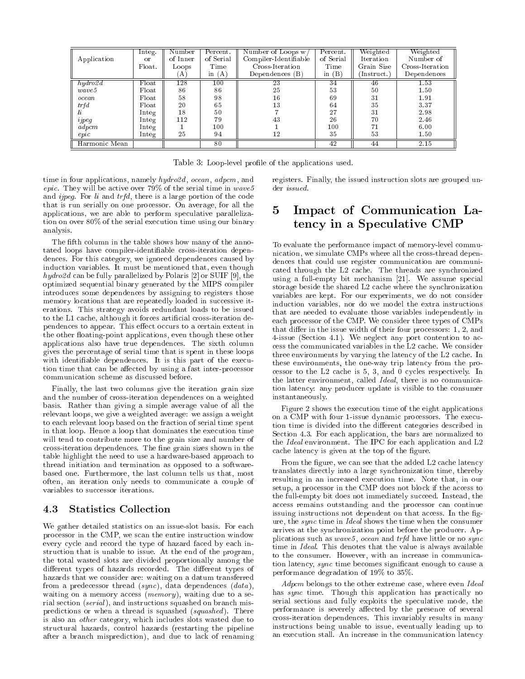| Application          | Integ.<br>or     | Number<br>of Inner | Percent.<br>of Serial | Number of Loops $w/$<br>Compiler-Identifiable | Percent.<br>of Serial | Weighted<br>Iteration | Weighted<br>Number of |
|----------------------|------------------|--------------------|-----------------------|-----------------------------------------------|-----------------------|-----------------------|-----------------------|
|                      | Float.           | Loops              | Time                  | Cross-Iteration                               | Time                  | Grain Size            | Cross-Iteration       |
|                      |                  | $\bf{A}$           | in $(A)$              | Dependences(B)                                | in $(B)$              | [Instructor.]         | Dependences           |
| $hyd\overline{ro2d}$ | Float            | 128                | 100                   | 23                                            | 34                    | 46                    | 1.53                  |
| wave5                | Float            | 86                 | 86                    | 25                                            | 53                    | 50                    | 1.50                  |
| ocean                | Float            | 58                 | 98                    | 16                                            | 69                    | 31                    | 1.91                  |
| trfd                 | Float            | 20                 | 65                    | 13                                            | 64                    | 35                    | 3.37                  |
| li.                  | Integ            | 18                 | 50                    |                                               | 27                    | 31                    | 2.98                  |
| ijpeg                | Integ            | 112                | 79                    | 43                                            | 26                    | 70                    | 2.46                  |
| adpcm                | Integ            |                    | 100                   |                                               | 100                   |                       | 6.00                  |
| epic                 | $\ln \text{teg}$ | 25                 | 94                    | 12                                            | 35                    | 53                    | 1.50                  |
| Harmonic Mean        |                  |                    | 80                    |                                               | 42                    | 44                    | 2.15                  |

Table 3: Loop-level prole of the appli
ations used.

time in four applications, namely hydro2d, ocean, adpcm, and epic. They will be active over  $79\%$  of the serial time in wave 5 and *ijpeg*. For  $li$  and  $trfd$ , there is a large portion of the code that is run serially on one pro
essor. On average, for all the applications, we are able to perform speculative parallelization on over 80% of the serial execution time using our binary analysis.

The fifth column in the table shows how many of the annotated loops have ompiler-identiable ross-iteration dependen
es. For this ategory, we ignored dependen
es aused by indu
tion variables. It must be mentioned that, even though  $hydro2d$  can be fully parallelized by Polaris [2] or SUIF [9], the optimized sequential binary generated by the MIPS ompiler introdu
es some dependen
es by assigning to registers those memory locations that are repeatedly loaded in successive iterations. This strategy avoids redundant loads to be issued to the L1 cache, although it forces artificial cross-iteration dependences to appear. This effect occurs to a certain extent in the other floating-point applications, even though these other appli
ations also have true dependen
es. The sixth olumn gives the per
entage of serial time that is spent in these loops with identifiable dependences. It is this part of the execution time that can be affected by using a fast inter-processor ommuni
ation s
heme as dis
ussed before.

Finally, the last two olumns give the iteration grain size and the number of cross-iteration dependences on a weighted basis. Rather than giving a simple average value of all the relevant loops, we give a weighted average: we assign a weight to each relevant loop based on the fraction of serial time spent in that loop. Hen
e a loop that dominates the exe
ution time will tend to ontribute more to the grain size and number of cross-iteration dependences. The fine grain sizes shown in the table highlight the need to use a hardware-based approa
h to thread initiation and termination as opposed to a softwarebased one. Furthermore, the last column tells us that, most based one. Furthermore, the last  $\mathbb{R}^n$  that, most that, most that, most that, most that, most that, most t often, an iteration only needs to ommuni
ate a ouple of variables to successor iterations.

#### 4.3 **Statistics Collection**

We gather detailed statistics on an issue-slot basis. For each pro
essor in the CMP, we s
an the entire instru
tion window every cycle and record the type of hazard faced by each instruction that is unable to issue. At the end of the program, the total wasted slots are divided proportionally among the different types of hazards recorded. The different types of hazards that we onsider are: waiting on a datum transferred from a predecessor thread  $(sync)$ , data dependences  $(data)$ , waiting on a memory access  $(memory)$ , waiting due to a serial section (*serial*), and instructions squashed on branch mispredictions or when a thread is squashed (squashed). There is also an *other* category, which includes slots wasted due to stru
tural hazards, ontrol hazards (restarting the pipeline after a branch misprediction), and due to lack of renaming

#### registers. Finally, the issued instruction slots are grouped under *issued*.

### Impact of Communication La- $\mathbf{5}$ tency in a Speculative CMP

To evaluate the performan
e impa
t of memory-level ommunication, we simulate CMPs where all the cross-thread dependences that could use register communication are communicated through the L2 cache. The threads are synchronized using a full-empty bit mechanism [21]. We assume special storage beside the shared L2 cache where the synchronization variables are kept. For our experiments, we do not onsider indu
tion variables, nor do we model the extra instru
tions that are needed to evaluate those variables independently in each processor of the CMP. We consider three types of CMPs that differ in the issue width of their four processors:  $1, 2$ , and 4-issue (Section 4.1). We neglect any port contention to access the communicated variables in the L2 cache. We consider three environments by varying the latency of the L2 cache. In these environments, the one-way trip latency from the processor to the  $L2$  cache is 5, 3, and 0 cycles respectively. In the latter environment, called *Ideal*, there is no communication laten
y: any produ
er update is visible to the onsumer instantaneously. instantaneously.

Figure 2 shows the execution time of the eight applications on a CMP with four 1-issue dynamic processors. The execution time is divided into the different categories described in Section 4.3. For each application, the bars are normalized to the Ideal environment. The IPC for each application and L2 cache latency is given at the top of the figure.

From the figure, we can see that the added L2 cache latency translates directly into a large synchronization time, thereby resulting in an increased execution time. Note that, in our setup, a processor in the CMP does not block if the access to the full-empty bit does not immediately succeed. Instead, the access remains outstanding and the processor can continue issuing instructions not dependent on that access. In the figure, the *sync* time in Ideal shows the time when the consumer arrives at the syn
hronization point before the produ
er. Applications such as  $wave5$ , ocean and trfd have little or no sync time in Ideal. This denotes that the value is always available to the consumer. However, with an increase in communication latency, sync time becomes significant enough to cause a performan
e degradation of 19% to 35%.

Adpcm belongs to the other extreme case, where even Ideal has sync time. Though this application has practically no serial sections and fully exploits the speculative mode, the performance is severely affected by the presence of several ross-iteration dependen
es. This invariably results in many instru
tions being unable to issue, eventually leading up to an execution stall. An increase in the communication latency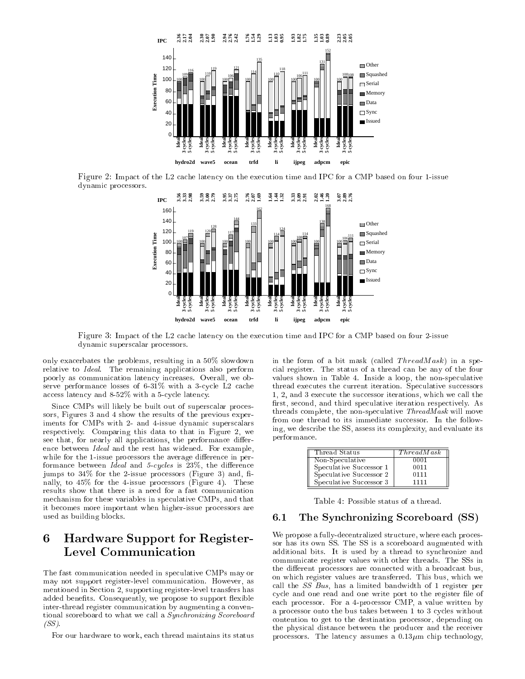

Figure 2: Impa
t of the L2 a
he laten
y on the exe
ution time and IPC for a CMP based on four 1-issue dynami pro
essors.



Figure 3: Impa
t of the L2 a
he laten
y on the exe
ution time and IPC for a CMP based on four 2-issue dynami supers
alar pro
essors.

only exa
erbates the problems, resulting in a 50% slowdown relative to *Ideal*. The remaining applications also perform poorly as ommuni
ation laten
y in
reases. Overall, we observe performance losses of  $6-31\%$  with a 3-cycle L2 cache access latency and 8-52% with a 5-cycle latency.

Since CMPs will likely be built out of superscalar processors, Figures 3 and 4 show the results of the previous experiments for CMPs with 2- and 4-issue dynamic superscalars respe
tively. Comparing this data to that in Figure 2, we see that, for nearly all applications, the performance differen
e between Ideal and the rest has widened. For example, while for the 1-issue processors the average difference in performance between *Ideal* and 5-cycles is 23%, the difference jumps to  $34\%$  for the 2-issue processors (Figure 3) and, finally, to 45% for the 4-issue pro
essors (Figure 4). These results show that there is a need for a fast ommuni
ation mechanism for these variables in speculative CMPs, and that it be
omes more important when higher-issue pro
essors are used as building blo
ks.

# 6 Hardware Support for Register-Level Communication

The fast communication needed in speculative CMPs may or The fast ommuni
ation needed in spe
ulative CMPs may or may not support register-level ommuni
ation. However, as mentioned in Section 2, supporting register-level transfers has added benefits. Consequently, we propose to support flexible inter-thread register communication by augmenting a conventional scoreboard to what we call a *Synchronizing Scoreboard* (SS).

For our hardware to work, each thread maintains its status

in the form of a bit mask (called  $ThreadMask$ ) in a special register. The status of a thread can be any of the four values shown in Table 4. Inside a loop, the non-speculative thread executes the current iteration. Speculative successors 1, 2, and 3 execute the successor iterations, which we call the first, second, and third speculative iteration respectively. As threads complete, the non-speculative *ThreadMask* will move from one thread to its immediate successor. In the following, we des
ribe the SS, assess its omplexity, and evaluate its performan
e.

| Thread Status           | ThreadMask |
|-------------------------|------------|
| Non-Speculative         | 0001       |
| Speculative Successor 1 | 0011       |
| Speculative Successor 2 | 0111       |
| Speculative Successor 3 | 1111       |

#### $6.1\,$ The Synchronizing Scoreboard (SS)

We propose a fully-decentralized structure, where each processor has its own SS. The SS is a s
oreboard augmented with additional bits. It is used by a thread to syn
hronize and ommuni
ate register values with other threads. The SSs in the different processors are connected with a broadcast bus, on whi
h register values are transferred. This bus, whi
h we all the SS Bus, has a limited bandwidth of 1 register per cycle and one read and one write port to the register file of each processor. For a 4-processor CMP, a value written by a processor onto the bus takes between 1 to 3 cycles without ontention to get to the destination pro
essor, depending on the physi
al distan
e between the produ
er and the re
eiver processors. The latency assumes a  $0.13 \mu m$  chip technology,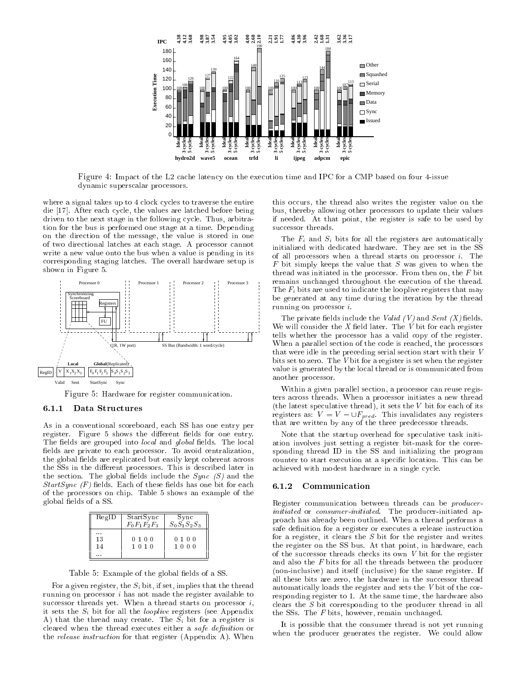

the latenth control of the latence of the latenth control time and it can be a complete on the control of the dynami supers
alar pro
essors.

where a signal takes up to 4 clock cycles to traverse the entire die [17]. After each cycle, the values are latched before being driven to the next stage in the following cycle. Thus, arbitration for the bus is performed one stage at a time. Depending on the dire
tion of the message, the value is stored in one of two dire
tional lat
hes at ea
h stage. A pro
essor annot write a new value onto the bus when a value is pending in its orresponding staging lat
hes. The overall hardware setup is shown in Figure 5.



Figure 5: Hardware for register ommuni
ation.

#### 6.1.1 Data Stru
tures

As in a onventional s
oreboard, ea
h SS has one entry per register. Figure 5 shows the different fields for one entry. The fields are grouped into *local* and *global* fields. The local fields are private to each processor. To avoid centralization, the global fields are replicated but easily kept coherent across the SSs in the different processors. This is described later in the section. The global fields include the  $\textit{Sync} \text{ }(S)$  and the  $StartSync$  (F) fields. Each of these fields has one bit for each of the pro
essors on hip. Table 5 shows an example of the global fields of a SS.

| RegID | StartSync<br>$F_0F_1F_2F_3$ | $_{\rm Sync}$<br>$S_0S_1S_2S_3$ |
|-------|-----------------------------|---------------------------------|
| 13    | 0100                        | 0100                            |
| 14    | 1010                        | 1000                            |

Table 5: Example of the global electric of a SS.

For a given register, the  $S_i$  bit, if set, implies that the thread running on processor *i* has not made the register available to successor threads yet. When a thread starts on processor  $i$ , it sets the  $S_i$  bit for all the *looplive* registers (see Appendix A) that the thread may create. The  $S_i$  bit for a register is cleared when the thread executes either a *safe definition* or the *release instruction* for that register (Appendix A). When

this occurs, the thread also writes the register value on the bus, thereby allowing other pro
essors to update their values if needed. At that point, the register is safe to be used by successor threads.

The  $F_i$  and  $S_i$  bits for all the registers are automatically initialized with dedicated hardware. They are set in the SS of all pro
essors when a thread starts on pro
essor i. The  $F$  bit simply keeps the value that  $S$  was given to when the thread was initiated in the processor. From then on, the  $F$  bit remains unchanged throughout the execution of the thread. The  $F_i$  bits are used to indicate the looplive registers that may be generated at any time during the iteration by the thread running on pro
essor i.

The private fields include the *Valid*  $(V)$  and *Sent*  $(X)$  fields. We will consider the  $X$  field later. The  $V$  bit for each register tells whether the pro
essor has a valid opy of the register. When a parallel section of the code is reached, the processors that were idle in the pre
eding serial se
tion start with their V bits set to zero. The V bit for a register is set when the register value is generated by the local thread or is communicated from another pro
essor.

Within a given parallel section, a processor can reuse registers a
ross threads. When a pro
essor initiates a new thread (the latest speculative thread), it sets the  $V$  bit for each of its registers as:  $V = V - \bigcup F_{pred}$ . This invalidates any registers that are written by any of the three prede
essor threads.

Note that the startup overhead for spe
ulative task initiation involves just setting a register bit-mask for the orresponding thread ID in the SS and initializing the program counter to start execution at a specific location. This can be achieved with modest hardware in a single cycle.

#### 6.1.2 Communi
ation

Register communication between threads can be *producer*initiated or consumer-initiated. The producer-initiated approa
h has already been outlined. When a thread performs a safe definition for a register or executes a release instruction for a register, it clears the  $S$  bit for the register and writes the register on the SS bus. At that point, in hardware, ea
h of the successor threads checks its own V bit for the register and also the F bits for all the threads between the produ
er (non-in
lusive) and itself (in
lusive) for the same register. If all these bits are zero, the hardware in the successor thread automati
ally loads the register and sets the V bit of the orresponding register to 1. At the same time, the hardware also clears the  $S$  bit corresponding to the producer thread in all the SSs. The F bits, however, remain un
hanged.

It is possible that the onsumer thread is not yet running when the producer generates the register. We could allow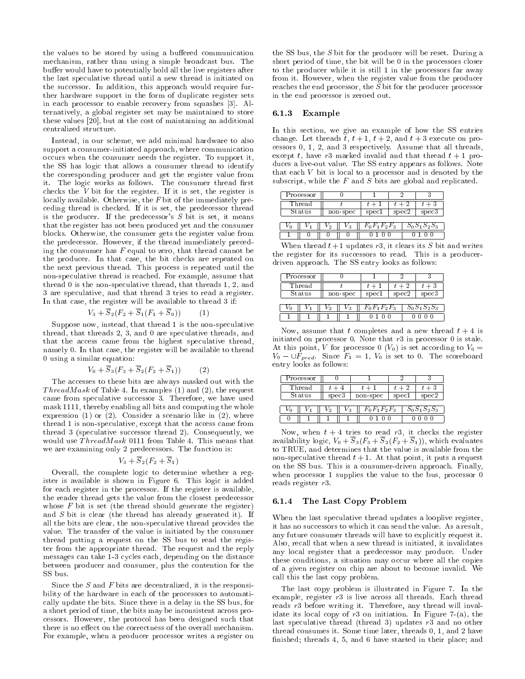the values to be stored by using a buffered communication me
hanism, rather than using a simple broad
ast bus. The buffer would have to potentially hold all the live registers after the last spe
ulative thread until a new thread is initiated on the successor. In addition, this approach would require further hardware support in the form of dupli
ate register sets in each processor to enable recovery from squashes [3]. Alternatively, a global register set may be maintained to store these values  $[20]$ , but at the cost of maintaining an additional entralized stru
ture.

Instead, in our s
heme, we add minimal hardware to also support a consumer-initiated approach, where communication occurs when the consumer needs the register. To support it, the SS has logi that allows a onsumer thread to identify the orresponding produ
er and get the register value from it. The logic works as follows. The consumer thread first he
ks the V bit for the register. If it is set, the register is locally available. Otherwise, the F bit of the immediately preeding thread is he
ked. If it is set, the prede
essor thread is the producer. If the predecessor's  $S$  bit is set, it means that the register has not been produ
ed yet and the onsumer blo
ks. Otherwise, the onsumer gets the register value from the prede
essor. However, if the thread immediately pre
eding the consumer has  $F$  equal to zero, that thread cannot be the producer. In that case, the bit checks are repeated on the next previous thread. This pro
ess is repeated until the non-spe
ulative thread is rea
hed. For example, assume that thread 0 is the non-spe
ulative thread, that threads 1, 2, and 3 are spe
ulative, and that thread 3 tries to read a register. In that ase, the register will be available to thread 3 if:

$$
V_3 + \overline{S}_2(F_2 + \overline{S}_1(F_1 + \overline{S}_0)) \tag{1}
$$

Suppose now, instead, that thread 1 is the non-speculative thread, that threads 2, 3, and 0 are spe
ulative threads, and that the access came from the highest speculative thread, namely 0. In that ase, the register will be available to thread 0 using a similar equation:

$$
V_0 + \overline{S}_3(F_3 + \overline{S}_2(F_2 + \overline{S}_1)) \tag{2}
$$

The accesses to these bits are always masked out with the ThreadMask of Table 4. In examples  $(1)$  and  $(2)$ , the request came from speculative successor 3. Therefore, we have used mask 1111, thereby enabling all bits and omputing the whole expression  $(1)$  or  $(2)$ . Consider a scenario like in  $(2)$ , where thread 1 is non-speculative, except that the access came from thread 3 (speculative successor thread 2). Consequently, we would use  $ThreadMask$  0111 from Table 4. This means that we are examining only 2 predecessors. The function is:

$$
V_3 + \overline{S}_2(F_2 + \overline{S}_1)
$$

Overall, the omplete logi to determine whether a register is available is shown in Figure 6. This logi is added for ea
h register in the pro
essor. If the register is available, the reader thread gets the value from the losest prede
essor whose  $F$  bit is set (the thread should generate the register) and  $S$  bit is clear (the thread has already generated it). If all the bits are lear, the non-spe
ulative thread provides the value. The transfer of the value is initiated by the onsumer thread putting a request on the SS bus to read the register from the appropriate thread. The request and the reply messages can take 1-3 cycles each, depending on the distance between produ
er and onsumer, plus the ontention for the SS bus

Since the S and F bits are decentralized, it is the responsibility of the hardware in each of the processors to automatially update the bits. Sin
e there is a delay in the SS bus, for a short period of time, the bits may be inconsistent across proessors. However, the proto
ol has been designed su
h that there is no effect on the correctness of the overall mechanism. For example, when a produ
er pro
essor writes a register on

the SS bus, the S bit for the produ
er will be reset. During a short period of time, the bit will be 0 in the processors closer to the produ
er while it is still 1 in the pro
essors far away from it. However, when the register value from the produ
er reaches the end processor, the S bit for the producer processor in the end pro
essor is zeroed out.

### 6.1.3 Example

In this section, we give an example of how the SS entries change. Let threads t,  $t + 1$ ,  $t + 2$ , and  $t + 3$  execute on proessors 0, 1, 2, and 3 respe
tively. Assume that all threads, except t, have r3 marked invalid and that thread  $t + 1$  produ
es a live-out value. The SS entry appears as follows. Note that each  $V$  bit is local to a processor and is denoted by the subscript, while the  $F$  and  $S$  bits are global and replicated.

|                         | Processor |            |          |                |         |  |          |
|-------------------------|-----------|------------|----------|----------------|---------|--|----------|
| Thread                  |           |            |          | $t + \cdot$    | $t + 2$ |  | $t+3$    |
| $\operatorname{Status}$ |           |            | non-spec | specl          | spec2   |  | spec3    |
|                         |           |            |          |                |         |  |          |
| 'n                      |           | <b>v</b> 9 | VЗ       | $F_0F_1F_2F_3$ |         |  | 50515253 |
|                         |           |            |          |                |         |  |          |

When thread  $t+1$  updates r3, it clears its S bit and writes the register for its successors to read. This is a producerdriven approa
h. The SS entry looks as follows:

|                | Processor |  |          |                  |         |  |                |
|----------------|-----------|--|----------|------------------|---------|--|----------------|
| Thread         |           |  |          |                  | $t + 2$ |  |                |
| ${\rm Status}$ |           |  | non-spec | $\mathrm{spec}1$ | spec2   |  | spec3          |
| 4.2<br>′∩      |           |  |          | $F_0F_1F_2F_3$   |         |  | $S_0S_1S_2S_3$ |
|                |           |  |          |                  |         |  |                |

Now, assume that t completes and a new thread  $t + 4$  is initiated on processor 0. Note that  $r3$  in processor 0 is stale. At this point, V for processor 0  $(V_0)$  is set according to  $V_0 =$  $V_0 - \bigcup F_{pred}$ . Since  $F_1 = 1$ ,  $V_0$  is set to 0. The scoreboard entry looks as follows:

|        | Processor |     |       |  |                |       |       |                |
|--------|-----------|-----|-------|--|----------------|-------|-------|----------------|
| Thread |           |     |       |  | $t +$          | $t+2$ |       | $t+3$          |
| Status |           |     | spec3 |  | non-spec       |       | specl | spec2          |
| n      |           | ∕ າ | -2    |  | $F_0F_1F_2F_3$ |       |       | $S_0S_1S_2S_3$ |
|        |           |     |       |  |                |       |       |                |

Now, when  $t + 4$  tries to read r3, it checks the register availability logic,  $V_0 + S_3(F_3 + S_2(F_2 + S_1))$ , which evaluates to TRUE, and determines that the value is available from the non-speculative thread  $t + 1$ . At that point, it puts a request on the SS bus. This is a onsumer-driven approa
h. Finally, when processor 1 supplies the value to the bus, processor 0 reads register r3.

#### 6.1.4 The Last Copy Problem

When the last speculative thread updates a looplive register, it has no successors to which it can send the value. As a result, any future consumer threads will have to explicitly request it. Also, re
all that when a new thread is initiated, it invalidates any lo
al register that a prede
essor may produ
e. Under these conditions, a situation may occur where all the copies of a given register on hip are about to be
ome invalid. We all this the last opy problem.

The last opy problem is illustrated in Figure 7. In the example, register  $r3$  is live across all threads. Each thread reads r3 before writing it. Therefore, any thread will invalidate its local copy of  $r3$  on initiation. In Figure 7-(a), the last speculative thread (thread 3) updates  $r3$  and no other thread onsumes it. Some time later, threads 0, 1, and 2 have finished; threads 4, 5, and 6 have started in their place; and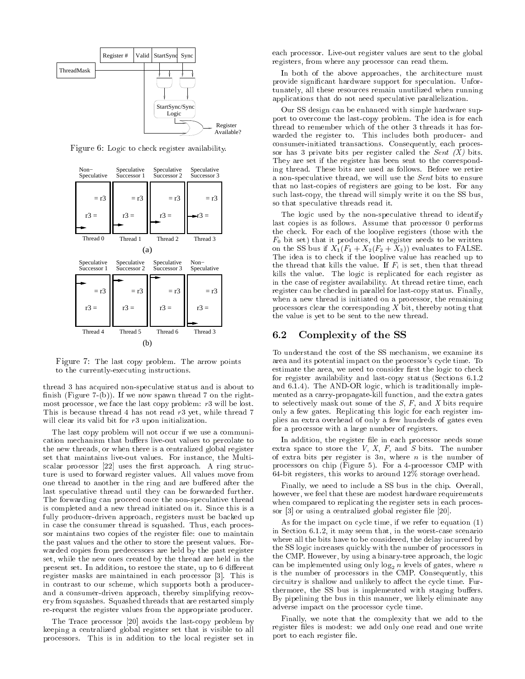

Figure 6: Logi to he
k register availability.



Figure 7: The last opy problem. The arrow points to the urrently-exe
uting instru
tions.

thread 3 has acquired non-speculative status and is about to finish (Figure  $7-(b)$ ). If we now spawn thread  $7$  on the rightmost processor, we face the last copy problem:  $r3$  will be lost. This is because thread 4 has not read  $r3$  yet, while thread  $7$ will clear its valid bit for  $r3$  upon initialization.

The last copy problem will not occur if we use a communication mechanism that buffers live-out values to percolate to the new threads, or when there is a entralized global register set that maintains live-out values. For instan
e, the Multiscalar processor  $[22]$  uses the first approach. A ring structure is used to forward register values. All values move from one thread to another in the ring and are buffered after the last speculative thread until they can be forwarded further. The forwarding can proceed once the non-speculative thread is ompleted and a new thread initiated on it. Sin
e this is a fully producer driven approach, registers must be backed up in case the consumer thread is squashed. Thus, each processor maintains two copies of the register file: one to maintain the past values and the other to store the present values. Forwarded opies from prede
essors are held by the past register set, while the new ones created by the thread are held in the present set. In addition, to restore the state, up to 6 different register masks are maintained in each processor [3]. This is in ontrast to our s
heme, whi
h supports both a produ
erand a onsumer-driven approa
h, thereby simplifying re
overy from squashes. Squashed threads that are restarted simply re-request the register values from the appropriate produ
er.

The Trace processor [20] avoids the last-copy problem by keeping a entralized global register set that is visible to all pro
essors. This is in addition to the lo
al register set in

ea
h pro
essor. Live-out register values are sent to the global registers, from where any processor can read them.

In both of the above approaches, the architecture must provide significant hardware support for speculation. Unfortunately, all these resour
es remain unutilized when running appli
ations that do not need spe
ulative parallelization.

Our SS design an be enhan
ed with simple hardware support to over
ome the lastopy problem. The idea is for ea
h thread to remember whi
h of the other 3 threads it has forwarded the register to. This includes both producer- and onsumer-initiated transa
tions. Consequently, ea
h pro
essor has 3 private bits per register called the Sent  $(X)$  bits. They are set if the register has been sent to the orresponding thread. These bits are used as follows. Before we retire a non-speculative thread, we will use the Sent bits to ensure that no lastopies of registers are going to be lost. For any su
h lastopy, the thread will simply write it on the SS bus, so that spe
ulative threads read it.

The logic used by the non-speculative thread to identify last opies is as follows. Assume that pro
essor 0 performs the check. For each of the looplive registers (those with the  $F_0$  bit set) that it produces, the register needs to be written on the SS bus if  $X_1(F_1+X_2(F_2+X_3))$  evaluates to FALSE. The idea is to check if the looplive value has reached up to the thread that kills the value. If  $F_i$  is set, then that thread kills the value. The logic is replicated for each register as in the ase of register availability. At thread retire time, ea
h register can be checked in parallel for last-copy status. Finally, when a new thread is initiated on a processor, the remaining pro
essors lear the orresponding <sup>X</sup> bit, thereby noting that the value is yet to be sent to the new thread.

# 6.2 Complexity of the SS

To understand the ost of the SS me
hanism, we examine its area and its potential impact on the processor's cycle time. To estimate the area, we need to consider first the logic to check for register availability and last-copy status (Sections 6.1.2) and 6.1.4). The AND-OR logic, which is traditionally implemented as a arry-propagate-kill fun
tion, and the extra gates to selectively mask out some of the  $S$ ,  $F$ , and  $X$  bits require only a few gates. Replicating this logic for each register implies an extra overhead of only a few hundreds of gates even for a pro
essor with a large number of registers.

In addition, the register file in each processor needs some extra space to store the  $V$ ,  $X$ ,  $F$ , and  $S$  bits. The number of extra bits per register is  $3n$ , where n is the number of pro
essors on hip (Figure 5). For a 4-pro
essor CMP with 64-bit registers, this works to around 12% storage overhead.

Finally, we need to include a SS bus in the chip. Overall, however, we feel that these are modest hardware requirements when compared to replicating the register sets in each processor  $[3]$  or using a centralized global register file  $[20]$ .

As for the impact on cycle time, if we refer to equation (1) in Se
tion 6.1.2, it may seem that, in the worstase s
enario where all the bits have to be considered, the delay incurred by the SS logic increases quickly with the number of processors in the CMP. However, by using a binary-tree approa
h, the logi can be implemented using only  $\log_2 n$  levels of gates, where n is the number of pro
essors in the CMP. Consequently, this circuitry is shallow and unlikely to affect the cycle time. Furthermore, the SS bus is implemented with staging buffers. By pipelining the bus in this manner, we likely eliminate any adverse impact on the processor cycle time.

Finally, we note that the omplexity that we add to the register files is modest: we add only one read and one write port to ea
h register le.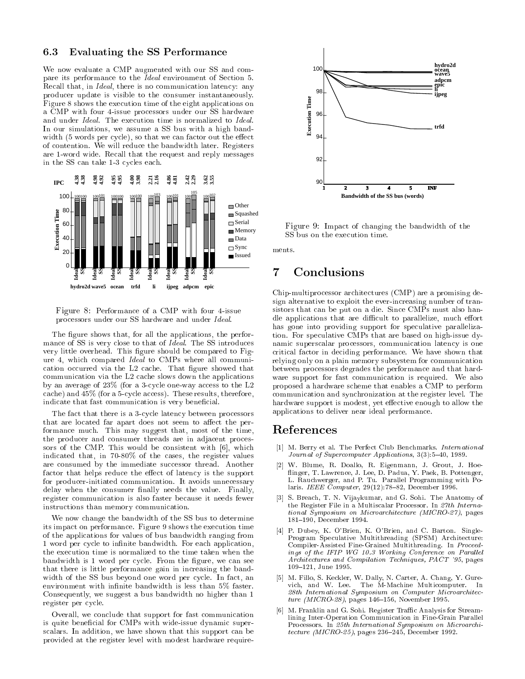# 6.3 Evaluating the SS Performan
e

We now evaluate a CMP augmented with our SS and compare its performance to the *Ideal* environment of Section 5. Recall that, in *Ideal*, there is no communication latency: any produ
er update is visible to the onsumer instantaneously. Figure 8 shows the execution time of the eight applications on a CMP with four 4-issue pro
essors under our SS hardware and under *Ideal*. The execution time is normalized to *Ideal*. In our simulations, we assume a SS bus with a high bandwidth (5 words per cycle), so that we can factor out the effect of ontention. We will redu
e the bandwidth later. Registers are 1-word wide. Re
all that the request and reply messages in the SS can take 1-3 cycles each.



Figure 8: Performan
e of a CMP with four 4-issue pro
essors under our SS hardware and under Ideal.

The figure shows that, for all the applications, the performance of SS is very close to that of Ideal. The SS introduces very little overhead. This figure should be compared to Figure 4, whi
h ompared Ideal to CMPs where all ommuni cation occurred via the L2 cache. That figure showed that communication via the L2 cache slows down the applications by an average of  $23\%$  (for a 3-cycle one-way access to the L2 cache) and  $45\%$  (for a 5-cycle access). These results, therefore, indicate that fast communication is very beneficial.

The fact that there is a 3-cycle latency between processors that are located far apart does not seem to affect the performan
e mu
h. This may suggest that, most of the time, the producer and consumer threads are in adjacent processors of the CMP. This would be consistent with [6], which indi
ated that, in 70-80% of the ases, the register values are consumed by the immediate successor thread. Another factor that helps reduce the effect of latency is the support for produ
er-initiated ommuni
ation. It avoids unne
essary delay when the consumer finally needs the value. Finally, register ommuni
ation is also faster be
ause it needs fewer instru
tions than memory ommuni
ation.

We now hange the bandwidth of the SS bus to determine its impa
t on performan
e. Figure 9 shows the exe
ution time of the appli
ations for values of bus bandwidth ranging from 1 word per cycle to infinite bandwidth. For each application, the exe
ution time is normalized to the time taken when the bandwidth is 1 word per cycle. From the figure, we can see that there is little performan
e gain in in
reasing the bandwidth of the SS bus beyond one word per cycle. In fact, an environment with infinite bandwidth is less than  $5\%$  faster. Consequently, we suggest a bus bandwidth no higher than 1 register per cycle.

Overall, we conclude that support for fast communication is quite beneficial for CMPs with wide-issue dynamic superscalars. In addition, we have shown that this support can be provided at the register level with modest hardware require-



figure 9: Impact to the bandwidth of the bandwidth of the bandwidth of the bandwidth of the bandwidth of the bandwidth of the bandwidth of the bandwidth of the bandwidth of the bandwidth of the bandwidth of the bandwidth o SS bus on the execution time.

ments.

# 7 Con
lusions

Chip-multipro
essor ar
hite
tures (CMP) are a promising design alternative to exploit the ever-increasing number of transistors that can be put on a die. Since CMPs must also handle applications that are difficult to parallelize, much effort has gone into providing support for speculative parallelization. For spe
ulative CMPs that are based on high-issue dynamic superscalar processors, communication latency is one riti
al fa
tor in de
iding performan
e. We have shown that relying only on a plain memory subsystem for communication between pro
essors degrades the performan
e and that hardware support for fast ommuni
ation is required. We also proposed a hardware s
heme that enables a CMP to perform ommuni
ation and syn
hronization at the register level. The hardware support is modest, yet effective enough to allow the applications to deliver near ideal performance.

# Referen
es

- [1] M. Berry et al. The Perfect Club Benchmarks. International Journal of Supercomputer Applications, 3(3):5-40, 1989.
- W. Blume, R. Doallo, R. Eigenmann, J. Grout, J. Hoe- $\lceil 2 \rceil$ flinger, T. Lawrence, J. Lee, D. Padua, Y. Paek, B. Pottenger, L. Rau
hwerger, and P. Tu. Parallel Programming with Polaris. IEEE  $Computer$ , 29(12):78-82, December 1996.
- [3] S. Breach, T. N. Vijaykumar, and G. Sohi. The Anatomy of the Register File in a Multiscalar Processor. In 27th International Symposium on Microarchitecture (MICRO-27), pages 181-190, December 1994.
- [4] P. Dubey, K. O'Brien, K. O'Brien, and C. Barton. Single-Program Speculative Multithreading (SPSM) Architecture: Compiler-Assisted Fine-Grained Multithreading. In Proceedings of the IFIP WG 10.3 Working Conference on Parallel Architectures and Compilation Techniques, PACT '95, pages 109-121, June 1995.
- [5] M. Fillo, S. Keckler, W. Dally, N. Carter, A. Chang, Y. Gurevich, and W. Lee. The M-Machine Multicomputer. In 28th International Symposium on Computer Microarchitecture (MICRO-28), pages 146-156, November 1995.
- M. Franklin and G. Sohi. Register Traffic Analysis for Streamlining Inter-Operation Communi
ation in Fine-Grain Parallel Processors. In 25th International Sumposium on Microarchi-Pro
essors. In 25th International Symposium on Mi
roar
hi $tecture (MICRO-25)$ , pages 236–245, December 1992.